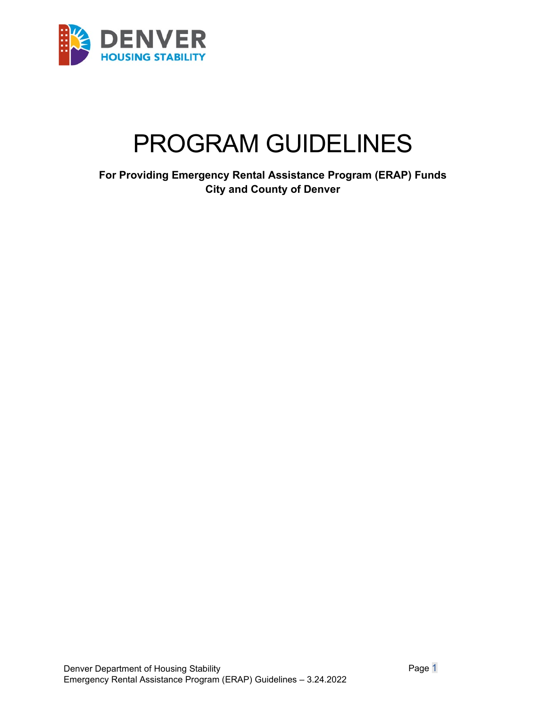

# PROGRAM GUIDELINES

**For Providing Emergency Rental Assistance Program (ERAP) Funds City and County of Denver**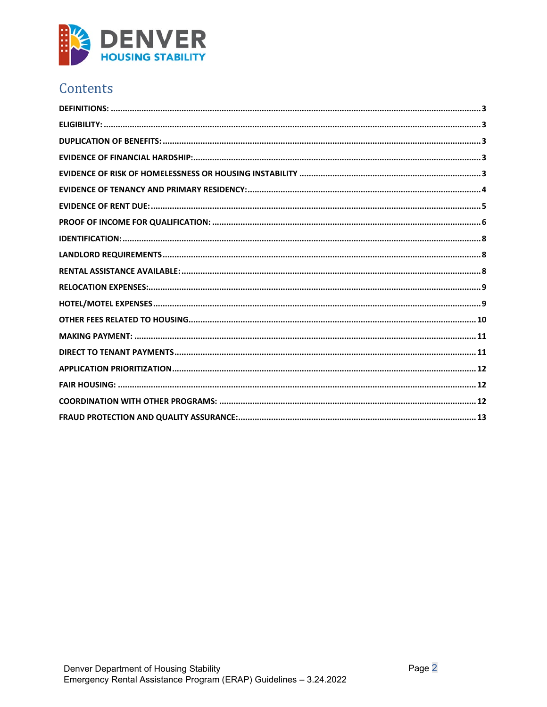

# Contents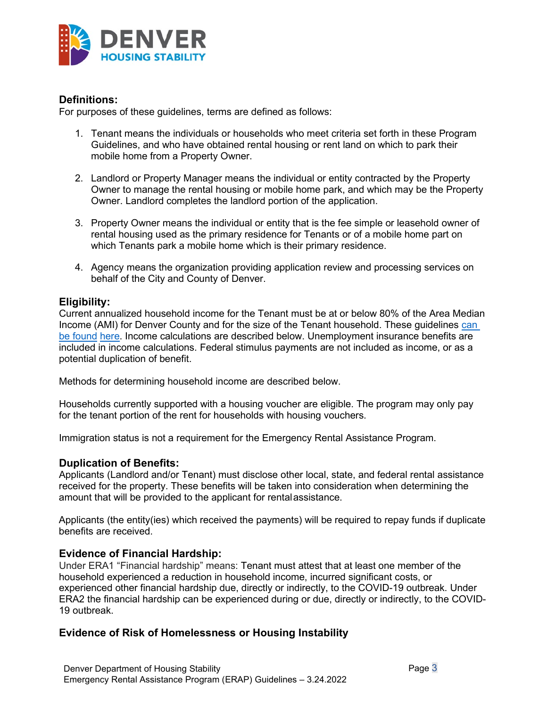

## <span id="page-2-0"></span>**Definitions:**

For purposes of these guidelines, terms are defined as follows:

- 1. Tenant means the individuals or households who meet criteria set forth in these Program Guidelines, and who have obtained rental housing or rent land on which to park their mobile home from a Property Owner.
- 2. Landlord or Property Manager means the individual or entity contracted by the Property Owner to manage the rental housing or mobile home park, and which may be the Property Owner. Landlord completes the landlord portion of the application.
- 3. Property Owner means the individual or entity that is the fee simple or leasehold owner of rental housing used as the primary residence for Tenants or of a mobile home part on which Tenants park a mobile home which is their primary residence.
- 4. Agency means the organization providing application review and processing services on behalf of the City and County of Denver.

# <span id="page-2-1"></span>**Eligibility:**

Current annualized household income for the Tenant must be at or below 80% of the Area Median Income (AMI) for Denver County and for the size of the Tenant household. These guidelines [can](https://drive.google.com/file/d/1JTXoeyzsOG62-GPA9heqNglg1S6msVEk/view)  [be found](https://drive.google.com/file/d/1JTXoeyzsOG62-GPA9heqNglg1S6msVEk/view) [here.](https://drive.google.com/file/d/1JTXoeyzsOG62-GPA9heqNglg1S6msVEk/view?usp=sharing) Income calculations are described below. Unemployment insurance benefits are included in income calculations. Federal stimulus payments are not included as income, or as a potential duplication of benefit.

Methods for determining household income are described below.

Households currently supported with a housing voucher are eligible. The program may only pay for the tenant portion of the rent for households with housing vouchers.

Immigration status is not a requirement for the Emergency Rental Assistance Program.

#### <span id="page-2-2"></span>**Duplication of Benefits:**

Applicants (Landlord and/or Tenant) must disclose other local, state, and federal rental assistance received for the property. These benefits will be taken into consideration when determining the amount that will be provided to the applicant for rentalassistance.

Applicants (the entity(ies) which received the payments) will be required to repay funds if duplicate benefits are received.

#### <span id="page-2-3"></span>**Evidence of Financial Hardship:**

Under ERA1 "Financial hardship" means: Tenant must attest that at least one member of the household experienced a reduction in household income, incurred significant costs, or experienced other financial hardship due, directly or indirectly, to the COVID-19 outbreak. Under ERA2 the financial hardship can be experienced during or due, directly or indirectly, to the COVID-19 outbreak.

# <span id="page-2-4"></span>**Evidence of Risk of Homelessness or Housing Instability**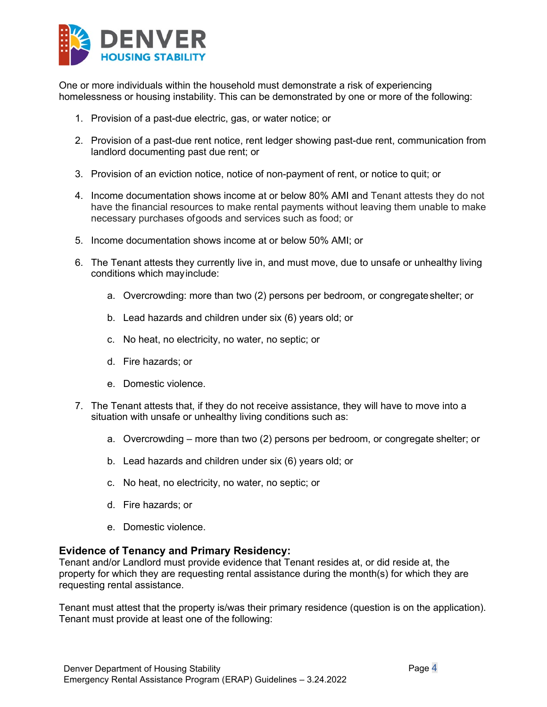

One or more individuals within the household must demonstrate a risk of experiencing homelessness or housing instability. This can be demonstrated by one or more of the following:

- 1. Provision of a past-due electric, gas, or water notice; or
- 2. Provision of a past-due rent notice, rent ledger showing past-due rent, communication from landlord documenting past due rent; or
- 3. Provision of an eviction notice, notice of non-payment of rent, or notice to quit; or
- 4. Income documentation shows income at or below 80% AMI and Tenant attests they do not have the financial resources to make rental payments without leaving them unable to make necessary purchases ofgoods and services such as food; or
- 5. Income documentation shows income at or below 50% AMI; or
- 6. The Tenant attests they currently live in, and must move, due to unsafe or unhealthy living conditions which mayinclude:
	- a. Overcrowding: more than two (2) persons per bedroom, or congregateshelter; or
	- b. Lead hazards and children under six (6) years old; or
	- c. No heat, no electricity, no water, no septic; or
	- d. Fire hazards; or
	- e. Domestic violence.
- 7. The Tenant attests that, if they do not receive assistance, they will have to move into a situation with unsafe or unhealthy living conditions such as:
	- a. Overcrowding more than two (2) persons per bedroom, or congregate shelter; or
	- b. Lead hazards and children under six (6) years old; or
	- c. No heat, no electricity, no water, no septic; or
	- d. Fire hazards; or
	- e. Domestic violence.

#### <span id="page-3-0"></span>**Evidence of Tenancy and Primary Residency:**

Tenant and/or Landlord must provide evidence that Tenant resides at, or did reside at, the property for which they are requesting rental assistance during the month(s) for which they are requesting rental assistance.

Tenant must attest that the property is/was their primary residence (question is on the application). Tenant must provide at least one of the following: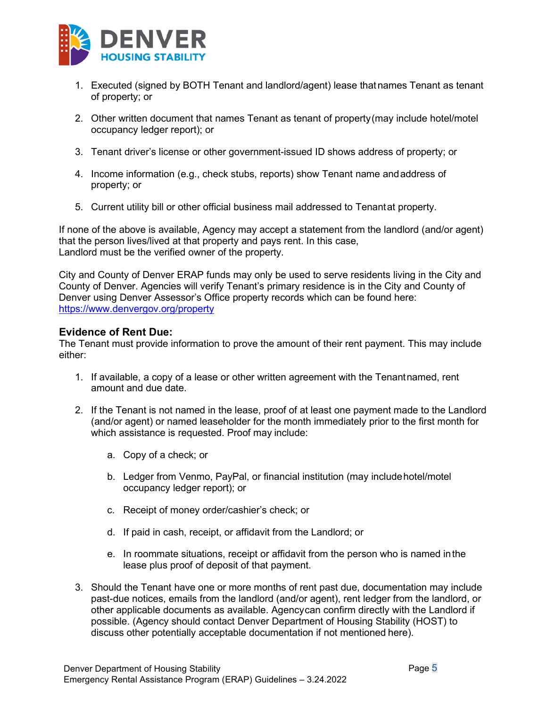

- 1. Executed (signed by BOTH Tenant and landlord/agent) lease that names Tenant as tenant of property; or
- 2. Other written document that names Tenant as tenant of property(may include hotel/motel occupancy ledger report); or
- 3. Tenant driver's license or other government-issued ID shows address of property; or
- 4. Income information (e.g., check stubs, reports) show Tenant name andaddress of property; or
- 5. Current utility bill or other official business mail addressed to Tenantat property.

If none of the above is available, Agency may accept a statement from the landlord (and/or agent) that the person lives/lived at that property and pays rent. In this case, Landlord must be the verified owner of the property.

City and County of Denver ERAP funds may only be used to serve residents living in the City and County of Denver. Agencies will verify Tenant's primary residence is in the City and County of Denver using Denver Assessor's Office property records which can be found here: <https://www.denvergov.org/property>

#### <span id="page-4-0"></span>**Evidence of Rent Due:**

The Tenant must provide information to prove the amount of their rent payment. This may include either:

- 1. If available, a copy of a lease or other written agreement with the Tenantnamed, rent amount and due date.
- 2. If the Tenant is not named in the lease, proof of at least one payment made to the Landlord (and/or agent) or named leaseholder for the month immediately prior to the first month for which assistance is requested. Proof may include:
	- a. Copy of a check; or
	- b. Ledger from Venmo, PayPal, or financial institution (may includehotel/motel occupancy ledger report); or
	- c. Receipt of money order/cashier's check; or
	- d. If paid in cash, receipt, or affidavit from the Landlord; or
	- e. In roommate situations, receipt or affidavit from the person who is named inthe lease plus proof of deposit of that payment.
- 3. Should the Tenant have one or more months of rent past due, documentation may include past-due notices, emails from the landlord (and/or agent), rent ledger from the landlord, or other applicable documents as available. Agencycan confirm directly with the Landlord if possible. (Agency should contact Denver Department of Housing Stability (HOST) to discuss other potentially acceptable documentation if not mentioned here).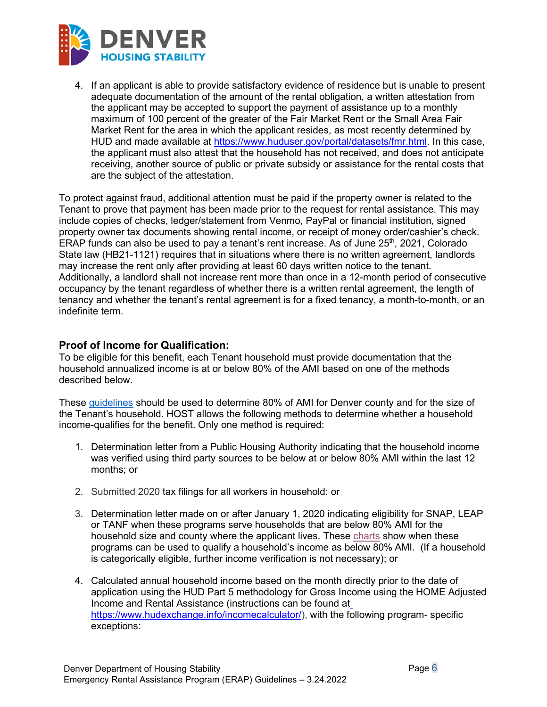

4. If an applicant is able to provide satisfactory evidence of residence but is unable to present adequate documentation of the amount of the rental obligation, a written attestation from the applicant may be accepted to support the payment of assistance up to a monthly maximum of 100 percent of the greater of the Fair Market Rent or the Small Area Fair Market Rent for the area in which the applicant resides, as most recently determined by HUD and made available at [https://www.huduser.gov/portal/datasets/fmr.html.](https://www.huduser.gov/portal/datasets/fmr.html) In this case, the applicant must also attest that the household has not received, and does not anticipate receiving, another source of public or private subsidy or assistance for the rental costs that are the subject of the attestation.

To protect against fraud, additional attention must be paid if the property owner is related to the Tenant to prove that payment has been made prior to the request for rental assistance. This may include copies of checks, ledger/statement from Venmo, PayPal or financial institution, signed property owner tax documents showing rental income, or receipt of money order/cashier's check. ERAP funds can also be used to pay a tenant's rent increase. As of June 25<sup>th</sup>, 2021, Colorado State law (HB21-1121) requires that in situations where there is no written agreement, landlords may increase the rent only after providing at least 60 days written notice to the tenant. Additionally, a landlord shall not increase rent more than once in a 12-month period of consecutive occupancy by the tenant regardless of whether there is a written rental agreement, the length of tenancy and whether the tenant's rental agreement is for a fixed tenancy, a month-to-month, or an indefinite term.

# <span id="page-5-0"></span>**Proof of Income for Qualification:**

To be eligible for this benefit, each Tenant household must provide documentation that the household annualized income is at or below 80% of the AMI based on one of the methods described below.

These [guidelines](https://drive.google.com/file/d/1JTXoeyzsOG62-GPA9heqNglg1S6msVEk/view) should be used to determine 80% of AMI for Denver county and for the size of the Tenant's household. HOST allows the following methods to determine whether a household income-qualifies for the benefit. Only one method is required:

- 1. Determination letter from a Public Housing Authority indicating that the household income was verified using third party sources to be below at or below 80% AMI within the last 12 months; or
- 2. Submitted 2020 tax filings for all workers in household: or
- 3. Determination letter made on or after January 1, 2020 indicating eligibility for SNAP, LEAP or TANF when these programs serve households that are below 80% AMI for the household size and county where the applicant lives. These [charts](https://drive.google.com/file/d/1J6g4oCrNC2EQ-gUbzbh_lJrVF5qDVMU-/view?usp=sharing) show when these programs can be used to qualify a household's income as below 80% AMI. (If a household is categorically eligible, further income verification is not necessary); or
- 4. Calculated annual household income based on the month directly prior to the date of application using the HUD Part 5 methodology for Gross Income using the HOME Adjusted Income and Rental Assistance (instructions can be found at [https://www.hudexchange.info/incomecalculator/\)](https://www.hudexchange.info/incomecalculator/), with the following program- specific exceptions: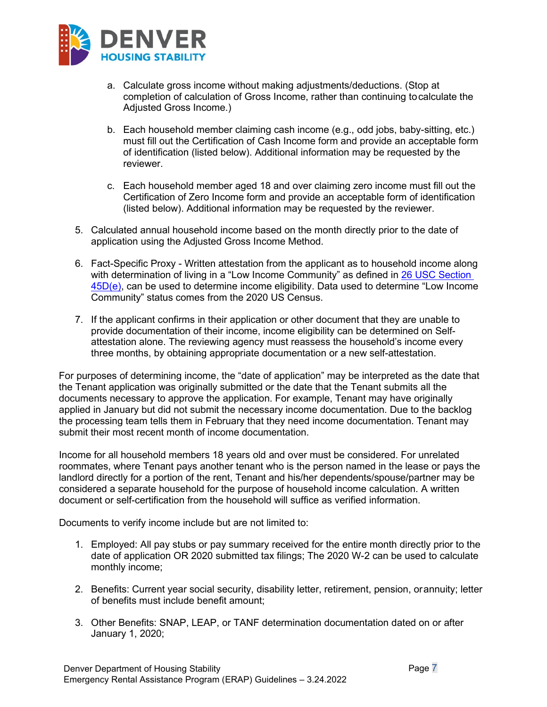

- a. Calculate gross income without making adjustments/deductions. (Stop at completion of calculation of Gross Income, rather than continuing tocalculate the Adjusted Gross Income.)
- b. Each household member claiming cash income (e.g., odd jobs, baby-sitting, etc.) must fill out the Certification of Cash Income form and provide an acceptable form of identification (listed below). Additional information may be requested by the reviewer.
- c. Each household member aged 18 and over claiming zero income must fill out the Certification of Zero Income form and provide an acceptable form of identification (listed below). Additional information may be requested by the reviewer.
- 5. Calculated annual household income based on the month directly prior to the date of application using the Adjusted Gross Income Method.
- 6. Fact-Specific Proxy Written attestation from the applicant as to household income along with determination of living in a "Low Income Community" as defined in 26 USC Section [45D\(e\),](https://www.law.cornell.edu/uscode/text/26/45D) can be used to determine income eligibility. Data used to determine "Low Income Community" status comes from the 2020 US Census.
- 7. If the applicant confirms in their application or other document that they are unable to provide documentation of their income, income eligibility can be determined on Selfattestation alone. The reviewing agency must reassess the household's income every three months, by obtaining appropriate documentation or a new self-attestation.

For purposes of determining income, the "date of application" may be interpreted as the date that the Tenant application was originally submitted or the date that the Tenant submits all the documents necessary to approve the application. For example, Tenant may have originally applied in January but did not submit the necessary income documentation. Due to the backlog the processing team tells them in February that they need income documentation. Tenant may submit their most recent month of income documentation.

Income for all household members 18 years old and over must be considered. For unrelated roommates, where Tenant pays another tenant who is the person named in the lease or pays the landlord directly for a portion of the rent, Tenant and his/her dependents/spouse/partner may be considered a separate household for the purpose of household income calculation. A written document or self-certification from the household will suffice as verified information.

Documents to verify income include but are not limited to:

- 1. Employed: All pay stubs or pay summary received for the entire month directly prior to the date of application OR 2020 submitted tax filings; The 2020 W-2 can be used to calculate monthly income;
- 2. Benefits: Current year social security, disability letter, retirement, pension, orannuity; letter of benefits must include benefit amount;
- 3. Other Benefits: SNAP, LEAP, or TANF determination documentation dated on or after January 1, 2020;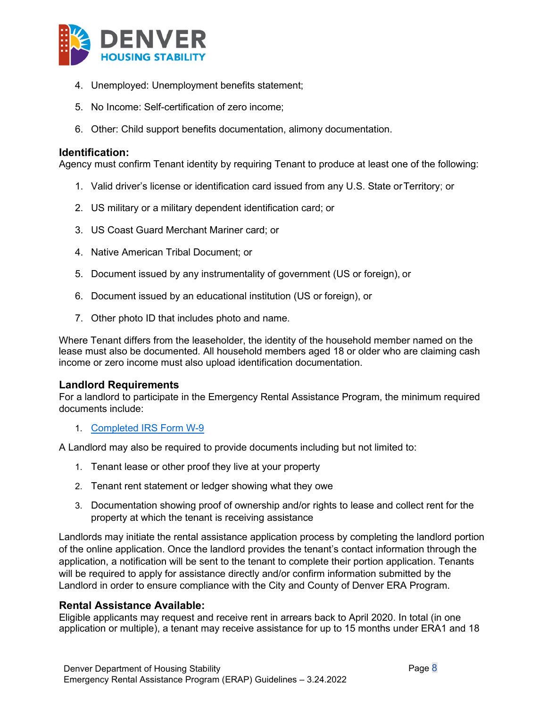

- 4. Unemployed: Unemployment benefits statement;
- 5. No Income: Self-certification of zero income;
- 6. Other: Child support benefits documentation, alimony documentation.

#### <span id="page-7-0"></span>**Identification:**

Agency must confirm Tenant identity by requiring Tenant to produce at least one of the following:

- 1. Valid driver's license or identification card issued from any U.S. State orTerritory; or
- 2. US military or a military dependent identification card; or
- 3. US Coast Guard Merchant Mariner card; or
- 4. Native American Tribal Document; or
- 5. Document issued by any instrumentality of government (US or foreign), or
- 6. Document issued by an educational institution (US or foreign), or
- 7. Other photo ID that includes photo and name.

Where Tenant differs from the leaseholder, the identity of the household member named on the lease must also be documented. All household members aged 18 or older who are claiming cash income or zero income must also upload identification documentation.

#### <span id="page-7-1"></span>**Landlord Requirements**

For a landlord to participate in the Emergency Rental Assistance Program, the minimum required documents include:

1. [Completed IRS Form W-9](https://drive.google.com/file/d/1oqWo5hcRm3JnMsE3U8-8myQqwa1RdBxF/view)

A Landlord may also be required to provide documents including but not limited to:

- 1. Tenant lease or other proof they live at your property
- 2. Tenant rent statement or ledger showing what they owe
- 3. Documentation showing proof of ownership and/or rights to lease and collect rent for the property at which the tenant is receiving assistance

Landlords may initiate the rental assistance application process by completing the landlord portion of the online application. Once the landlord provides the tenant's contact information through the application, a notification will be sent to the tenant to complete their portion application. Tenants will be required to apply for assistance directly and/or confirm information submitted by the Landlord in order to ensure compliance with the City and County of Denver ERA Program.

#### <span id="page-7-2"></span>**Rental Assistance Available:**

Eligible applicants may request and receive rent in arrears back to April 2020. In total (in one application or multiple), a tenant may receive assistance for up to 15 months under ERA1 and 18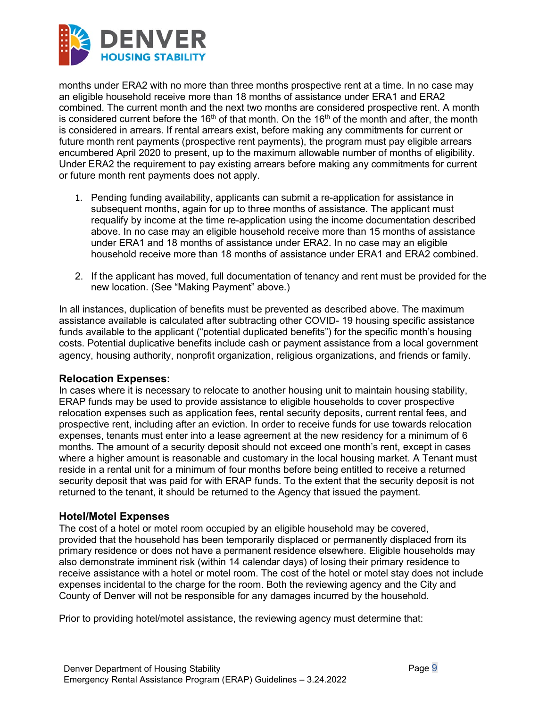

months under ERA2 with no more than three months prospective rent at a time. In no case may an eligible household receive more than 18 months of assistance under ERA1 and ERA2 combined. The current month and the next two months are considered prospective rent. A month is considered current before the 16<sup>th</sup> of that month. On the 16<sup>th</sup> of the month and after, the month is considered in arrears. If rental arrears exist, before making any commitments for current or future month rent payments (prospective rent payments), the program must pay eligible arrears encumbered April 2020 to present, up to the maximum allowable number of months of eligibility. Under ERA2 the requirement to pay existing arrears before making any commitments for current or future month rent payments does not apply.

- 1. Pending funding availability, applicants can submit a re-application for assistance in subsequent months, again for up to three months of assistance. The applicant must requalify by income at the time re-application using the income documentation described above. In no case may an eligible household receive more than 15 months of assistance under ERA1 and 18 months of assistance under ERA2. In no case may an eligible household receive more than 18 months of assistance under ERA1 and ERA2 combined.
- 2. If the applicant has moved, full documentation of tenancy and rent must be provided for the new location. (See "Making Payment" above.)

In all instances, duplication of benefits must be prevented as described above. The maximum assistance available is calculated after subtracting other COVID- 19 housing specific assistance funds available to the applicant ("potential duplicated benefits") for the specific month's housing costs. Potential duplicative benefits include cash or payment assistance from a local government agency, housing authority, nonprofit organization, religious organizations, and friends or family.

#### <span id="page-8-0"></span>**Relocation Expenses:**

In cases where it is necessary to relocate to another housing unit to maintain housing stability, ERAP funds may be used to provide assistance to eligible households to cover prospective relocation expenses such as application fees, rental security deposits, current rental fees, and prospective rent, including after an eviction. In order to receive funds for use towards relocation expenses, tenants must enter into a lease agreement at the new residency for a minimum of 6 months. The amount of a security deposit should not exceed one month's rent, except in cases where a higher amount is reasonable and customary in the local housing market. A Tenant must reside in a rental unit for a minimum of four months before being entitled to receive a returned security deposit that was paid for with ERAP funds. To the extent that the security deposit is not returned to the tenant, it should be returned to the Agency that issued the payment.

#### <span id="page-8-1"></span>**Hotel/Motel Expenses**

The cost of a hotel or motel room occupied by an eligible household may be covered, provided that the household has been temporarily displaced or permanently displaced from its primary residence or does not have a permanent residence elsewhere. Eligible households may also demonstrate imminent risk (within 14 calendar days) of losing their primary residence to receive assistance with a hotel or motel room. The cost of the hotel or motel stay does not include expenses incidental to the charge for the room. Both the reviewing agency and the City and County of Denver will not be responsible for any damages incurred by the household.

Prior to providing hotel/motel assistance, the reviewing agency must determine that: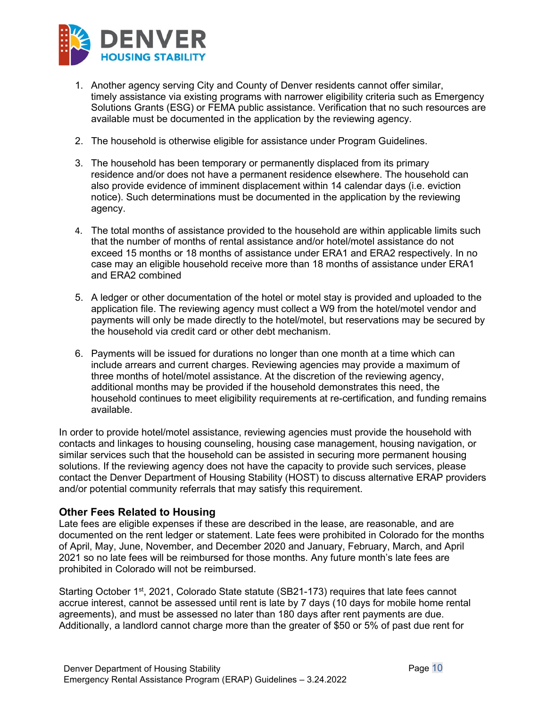

- 1. Another agency serving City and County of Denver residents cannot offer similar, timely assistance via existing programs with narrower eligibility criteria such as Emergency Solutions Grants (ESG) or FEMA public assistance. Verification that no such resources are available must be documented in the application by the reviewing agency.
- 2. The household is otherwise eligible for assistance under Program Guidelines.
- 3. The household has been temporary or permanently displaced from its primary residence and/or does not have a permanent residence elsewhere. The household can also provide evidence of imminent displacement within 14 calendar days (i.e. eviction notice). Such determinations must be documented in the application by the reviewing agency.
- 4. The total months of assistance provided to the household are within applicable limits such that the number of months of rental assistance and/or hotel/motel assistance do not exceed 15 months or 18 months of assistance under ERA1 and ERA2 respectively. In no case may an eligible household receive more than 18 months of assistance under ERA1 and ERA2 combined
- 5. A ledger or other documentation of the hotel or motel stay is provided and uploaded to the application file. The reviewing agency must collect a W9 from the hotel/motel vendor and payments will only be made directly to the hotel/motel, but reservations may be secured by the household via credit card or other debt mechanism.
- 6. Payments will be issued for durations no longer than one month at a time which can include arrears and current charges. Reviewing agencies may provide a maximum of three months of hotel/motel assistance. At the discretion of the reviewing agency, additional months may be provided if the household demonstrates this need, the household continues to meet eligibility requirements at re-certification, and funding remains available.

In order to provide hotel/motel assistance, reviewing agencies must provide the household with contacts and linkages to housing counseling, housing case management, housing navigation, or similar services such that the household can be assisted in securing more permanent housing solutions. If the reviewing agency does not have the capacity to provide such services, please contact the Denver Department of Housing Stability (HOST) to discuss alternative ERAP providers and/or potential community referrals that may satisfy this requirement.

# <span id="page-9-0"></span>**Other Fees Related to Housing**

Late fees are eligible expenses if these are described in the lease, are reasonable, and are documented on the rent ledger or statement. Late fees were prohibited in Colorado for the months of April, May, June, November, and December 2020 and January, February, March, and April 2021 so no late fees will be reimbursed for those months. Any future month's late fees are prohibited in Colorado will not be reimbursed.

Starting October 1<sup>st</sup>, 2021, Colorado State statute (SB21-173) requires that late fees cannot accrue interest, cannot be assessed until rent is late by 7 days (10 days for mobile home rental agreements), and must be assessed no later than 180 days after rent payments are due. Additionally, a landlord cannot charge more than the greater of \$50 or 5% of past due rent for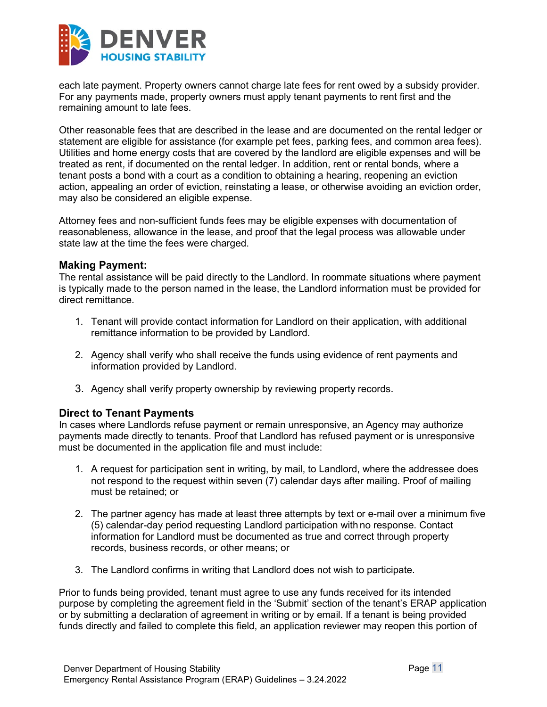

each late payment. Property owners cannot charge late fees for rent owed by a subsidy provider. For any payments made, property owners must apply tenant payments to rent first and the remaining amount to late fees.

Other reasonable fees that are described in the lease and are documented on the rental ledger or statement are eligible for assistance (for example pet fees, parking fees, and common area fees). Utilities and home energy costs that are covered by the landlord are eligible expenses and will be treated as rent, if documented on the rental ledger. In addition, rent or rental bonds, where a tenant posts a bond with a court as a condition to obtaining a hearing, reopening an eviction action, appealing an order of eviction, reinstating a lease, or otherwise avoiding an eviction order, may also be considered an eligible expense.

Attorney fees and non-sufficient funds fees may be eligible expenses with documentation of reasonableness, allowance in the lease, and proof that the legal process was allowable under state law at the time the fees were charged.

#### <span id="page-10-0"></span>**Making Payment:**

The rental assistance will be paid directly to the Landlord. In roommate situations where payment is typically made to the person named in the lease, the Landlord information must be provided for direct remittance.

- 1. Tenant will provide contact information for Landlord on their application, with additional remittance information to be provided by Landlord.
- 2. Agency shall verify who shall receive the funds using evidence of rent payments and information provided by Landlord.
- 3. Agency shall verify property ownership by reviewing property records.

#### <span id="page-10-1"></span>**Direct to Tenant Payments**

In cases where Landlords refuse payment or remain unresponsive, an Agency may authorize payments made directly to tenants. Proof that Landlord has refused payment or is unresponsive must be documented in the application file and must include:

- 1. A request for participation sent in writing, by mail, to Landlord, where the addressee does not respond to the request within seven (7) calendar days after mailing. Proof of mailing must be retained; or
- 2. The partner agency has made at least three attempts by text or e-mail over a minimum five (5) calendar-day period requesting Landlord participation with no response. Contact information for Landlord must be documented as true and correct through property records, business records, or other means; or
- 3. The Landlord confirms in writing that Landlord does not wish to participate.

Prior to funds being provided, tenant must agree to use any funds received for its intended purpose by completing the agreement field in the 'Submit' section of the tenant's ERAP application or by submitting a declaration of agreement in writing or by email. If a tenant is being provided funds directly and failed to complete this field, an application reviewer may reopen this portion of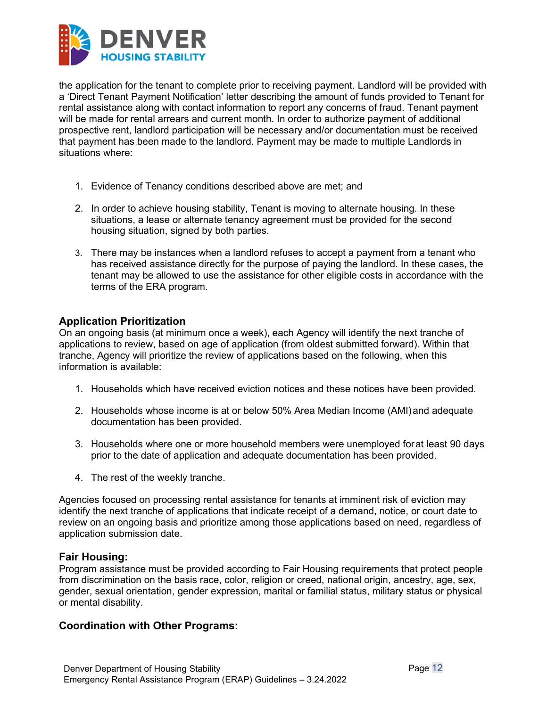

the application for the tenant to complete prior to receiving payment. Landlord will be provided with a 'Direct Tenant Payment Notification' letter describing the amount of funds provided to Tenant for rental assistance along with contact information to report any concerns of fraud. Tenant payment will be made for rental arrears and current month. In order to authorize payment of additional prospective rent, landlord participation will be necessary and/or documentation must be received that payment has been made to the landlord. Payment may be made to multiple Landlords in situations where:

- 1. Evidence of Tenancy conditions described above are met; and
- 2. In order to achieve housing stability, Tenant is moving to alternate housing. In these situations, a lease or alternate tenancy agreement must be provided for the second housing situation, signed by both parties.
- 3. There may be instances when a landlord refuses to accept a payment from a tenant who has received assistance directly for the purpose of paying the landlord. In these cases, the tenant may be allowed to use the assistance for other eligible costs in accordance with the terms of the ERA program.

#### <span id="page-11-0"></span>**Application Prioritization**

On an ongoing basis (at minimum once a week), each Agency will identify the next tranche of applications to review, based on age of application (from oldest submitted forward). Within that tranche, Agency will prioritize the review of applications based on the following, when this information is available:

- 1. Households which have received eviction notices and these notices have been provided.
- 2. Households whose income is at or below 50% Area Median Income (AMI)and adequate documentation has been provided.
- 3. Households where one or more household members were unemployed forat least 90 days prior to the date of application and adequate documentation has been provided.
- 4. The rest of the weekly tranche.

Agencies focused on processing rental assistance for tenants at imminent risk of eviction may identify the next tranche of applications that indicate receipt of a demand, notice, or court date to review on an ongoing basis and prioritize among those applications based on need, regardless of application submission date.

#### <span id="page-11-1"></span>**Fair Housing:**

Program assistance must be provided according to Fair Housing requirements that protect people from discrimination on the basis race, color, religion or creed, national origin, ancestry, age, sex, gender, sexual orientation, gender expression, marital or familial status, military status or physical or mental disability.

#### <span id="page-11-2"></span>**Coordination with Other Programs:**